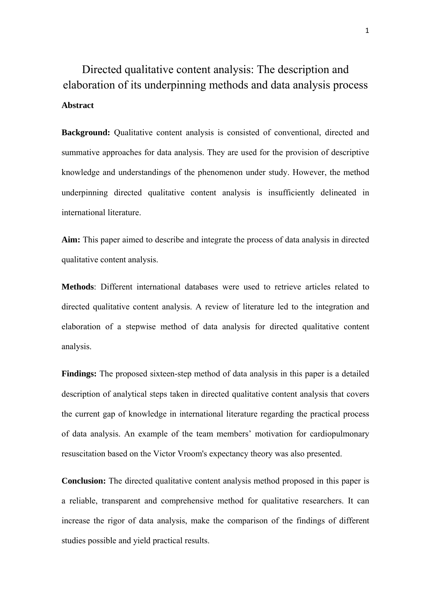Directed qualitative content analysis: The description and elaboration of its underpinning methods and data analysis process **Abstract** 

**Background:** Qualitative content analysis is consisted of conventional, directed and summative approaches for data analysis. They are used for the provision of descriptive knowledge and understandings of the phenomenon under study. However, the method underpinning directed qualitative content analysis is insufficiently delineated in international literature.

**Aim:** This paper aimed to describe and integrate the process of data analysis in directed qualitative content analysis.

**Methods**: Different international databases were used to retrieve articles related to directed qualitative content analysis. A review of literature led to the integration and elaboration of a stepwise method of data analysis for directed qualitative content analysis.

**Findings:** The proposed sixteen-step method of data analysis in this paper is a detailed description of analytical steps taken in directed qualitative content analysis that covers the current gap of knowledge in international literature regarding the practical process of data analysis. An example of the team members' motivation for cardiopulmonary resuscitation based on the Victor Vroom's expectancy theory was also presented.

**Conclusion:** The directed qualitative content analysis method proposed in this paper is a reliable, transparent and comprehensive method for qualitative researchers. It can increase the rigor of data analysis, make the comparison of the findings of different studies possible and yield practical results.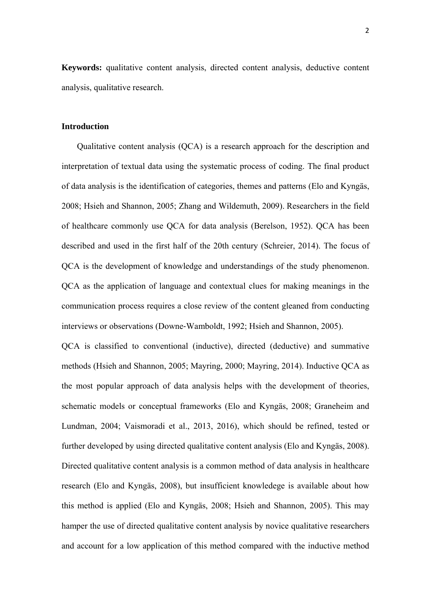**Keywords:** qualitative content analysis, directed content analysis, deductive content analysis, qualitative research.

#### **Introduction**

Qualitative content analysis (QCA) is a research approach for the description and interpretation of textual data using the systematic process of coding. The final product of data analysis is the identification of categories, themes and patterns (Elo and Kyngäs, 2008; Hsieh and Shannon, 2005; Zhang and Wildemuth, 2009). Researchers in the field of healthcare commonly use QCA for data analysis (Berelson, 1952). QCA has been described and used in the first half of the 20th century (Schreier, 2014). The focus of QCA is the development of knowledge and understandings of the study phenomenon. QCA as the application of language and contextual clues for making meanings in the communication process requires a close review of the content gleaned from conducting interviews or observations (Downe‐Wamboldt, 1992; Hsieh and Shannon, 2005).

QCA is classified to conventional (inductive), directed (deductive) and summative methods (Hsieh and Shannon, 2005; Mayring, 2000; Mayring, 2014). Inductive QCA as the most popular approach of data analysis helps with the development of theories, schematic models or conceptual frameworks (Elo and Kyngäs, 2008; Graneheim and Lundman, 2004; Vaismoradi et al., 2013, 2016), which should be refined, tested or further developed by using directed qualitative content analysis (Elo and Kyngäs, 2008). Directed qualitative content analysis is a common method of data analysis in healthcare research (Elo and Kyngäs, 2008), but insufficient knowledege is available about how this method is applied (Elo and Kyngäs, 2008; Hsieh and Shannon, 2005). This may hamper the use of directed qualitative content analysis by novice qualitative researchers and account for a low application of this method compared with the inductive method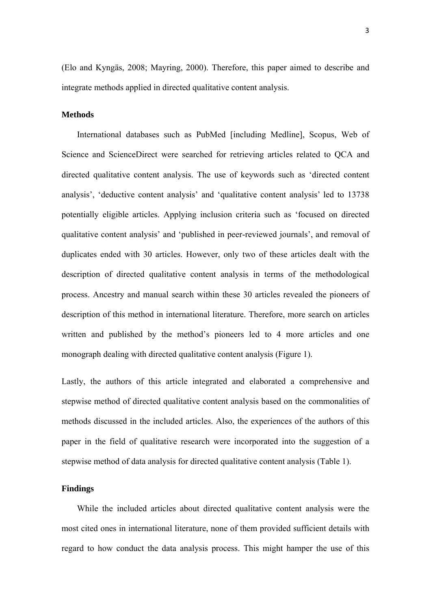(Elo and Kyngäs, 2008; Mayring, 2000). Therefore, this paper aimed to describe and integrate methods applied in directed qualitative content analysis.

#### **Methods**

International databases such as PubMed [including Medline], Scopus, Web of Science and ScienceDirect were searched for retrieving articles related to QCA and directed qualitative content analysis. The use of keywords such as 'directed content analysis', 'deductive content analysis' and 'qualitative content analysis' led to 13738 potentially eligible articles. Applying inclusion criteria such as 'focused on directed qualitative content analysis' and 'published in peer-reviewed journals', and removal of duplicates ended with 30 articles. However, only two of these articles dealt with the description of directed qualitative content analysis in terms of the methodological process. Ancestry and manual search within these 30 articles revealed the pioneers of description of this method in international literature. Therefore, more search on articles written and published by the method's pioneers led to 4 more articles and one monograph dealing with directed qualitative content analysis (Figure 1).

Lastly, the authors of this article integrated and elaborated a comprehensive and stepwise method of directed qualitative content analysis based on the commonalities of methods discussed in the included articles. Also, the experiences of the authors of this paper in the field of qualitative research were incorporated into the suggestion of a stepwise method of data analysis for directed qualitative content analysis (Table 1).

#### **Findings**

While the included articles about directed qualitative content analysis were the most cited ones in international literature, none of them provided sufficient details with regard to how conduct the data analysis process. This might hamper the use of this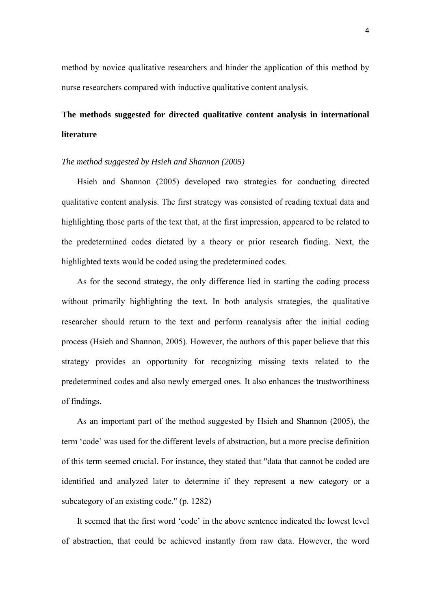method by novice qualitative researchers and hinder the application of this method by nurse researchers compared with inductive qualitative content analysis.

# **The methods suggested for directed qualitative content analysis in international literature**

#### *The method suggested by Hsieh and Shannon (2005)*

Hsieh and Shannon (2005) developed two strategies for conducting directed qualitative content analysis. The first strategy was consisted of reading textual data and highlighting those parts of the text that, at the first impression, appeared to be related to the predetermined codes dictated by a theory or prior research finding. Next, the highlighted texts would be coded using the predetermined codes.

As for the second strategy, the only difference lied in starting the coding process without primarily highlighting the text. In both analysis strategies, the qualitative researcher should return to the text and perform reanalysis after the initial coding process (Hsieh and Shannon, 2005). However, the authors of this paper believe that this strategy provides an opportunity for recognizing missing texts related to the predetermined codes and also newly emerged ones. It also enhances the trustworthiness of findings.

As an important part of the method suggested by Hsieh and Shannon (2005), the term 'code' was used for the different levels of abstraction, but a more precise definition of this term seemed crucial. For instance, they stated that "data that cannot be coded are identified and analyzed later to determine if they represent a new category or a subcategory of an existing code." (p. 1282)

It seemed that the first word 'code' in the above sentence indicated the lowest level of abstraction, that could be achieved instantly from raw data. However, the word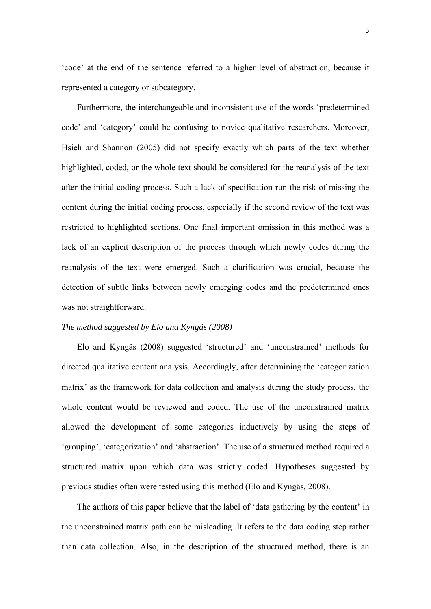'code' at the end of the sentence referred to a higher level of abstraction, because it represented a category or subcategory.

Furthermore, the interchangeable and inconsistent use of the words 'predetermined code' and 'category' could be confusing to novice qualitative researchers. Moreover, Hsieh and Shannon (2005) did not specify exactly which parts of the text whether highlighted, coded, or the whole text should be considered for the reanalysis of the text after the initial coding process. Such a lack of specification run the risk of missing the content during the initial coding process, especially if the second review of the text was restricted to highlighted sections. One final important omission in this method was a lack of an explicit description of the process through which newly codes during the reanalysis of the text were emerged. Such a clarification was crucial, because the detection of subtle links between newly emerging codes and the predetermined ones was not straightforward.

#### *The method suggested by Elo and Kyngäs (2008)*

Elo and Kyngäs (2008) suggested 'structured' and 'unconstrained' methods for directed qualitative content analysis. Accordingly, after determining the 'categorization matrix' as the framework for data collection and analysis during the study process, the whole content would be reviewed and coded. The use of the unconstrained matrix allowed the development of some categories inductively by using the steps of 'grouping', 'categorization' and 'abstraction'. The use of a structured method required a structured matrix upon which data was strictly coded. Hypotheses suggested by previous studies often were tested using this method (Elo and Kyngäs, 2008).

The authors of this paper believe that the label of 'data gathering by the content' in the unconstrained matrix path can be misleading. It refers to the data coding step rather than data collection. Also, in the description of the structured method, there is an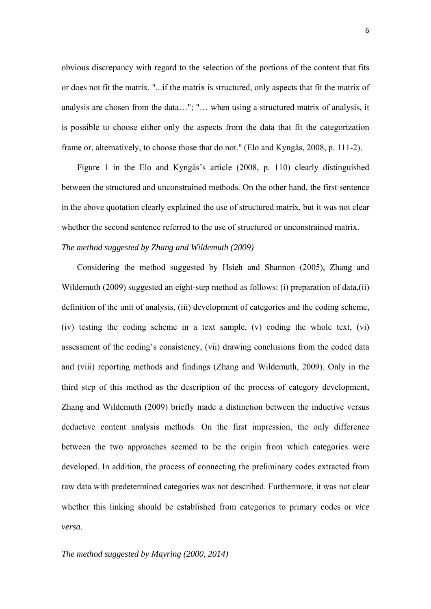obvious discrepancy with regard to the selection of the portions of the content that fits or does not fit the matrix. "...if the matrix is structured, only aspects that fit the matrix of analysis are chosen from the data…"; "… when using a structured matrix of analysis, it is possible to choose either only the aspects from the data that fit the categorization frame or, alternatively, to choose those that do not." (Elo and Kyngäs, 2008, p. 111-2).

Figure 1 in the Elo and Kyngäs's article (2008, p. 110) clearly distinguished between the structured and unconstrained methods. On the other hand, the first sentence in the above quotation clearly explained the use of structured matrix, but it was not clear whether the second sentence referred to the use of structured or unconstrained matrix.

#### *The method suggested by Zhang and Wildemuth (2009)*

Considering the method suggested by Hsieh and Shannon (2005), Zhang and Wildemuth (2009) suggested an eight-step method as follows: (i) preparation of data,(ii) definition of the unit of analysis, (iii) development of categories and the coding scheme, (iv) testing the coding scheme in a text sample, (v) coding the whole text, (vi) assessment of the coding's consistency, (vii) drawing conclusions from the coded data and (viii) reporting methods and findings (Zhang and Wildemuth, 2009). Only in the third step of this method as the description of the process of category development, Zhang and Wildemuth (2009) briefly made a distinction between the inductive versus deductive content analysis methods. On the first impression, the only difference between the two approaches seemed to be the origin from which categories were developed. In addition, the process of connecting the preliminary codes extracted from raw data with predetermined categories was not described. Furthermore, it was not clear whether this linking should be established from categories to primary codes or *vice versa*.

*The method suggested by Mayring (2000, 2014)*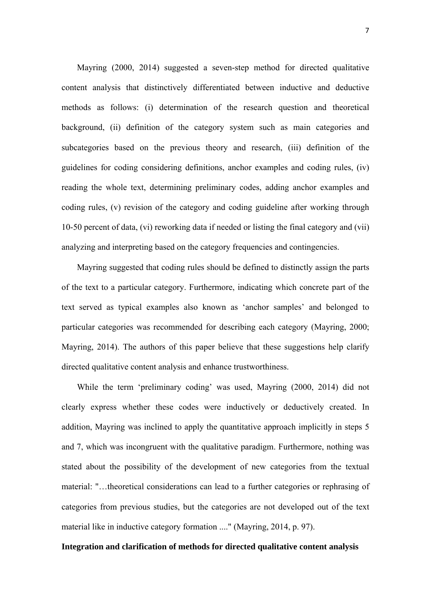Mayring (2000, 2014) suggested a seven-step method for directed qualitative content analysis that distinctively differentiated between inductive and deductive methods as follows: (i) determination of the research question and theoretical background, (ii) definition of the category system such as main categories and subcategories based on the previous theory and research, (iii) definition of the guidelines for coding considering definitions, anchor examples and coding rules, (iv) reading the whole text, determining preliminary codes, adding anchor examples and coding rules, (v) revision of the category and coding guideline after working through 10-50 percent of data, (vi) reworking data if needed or listing the final category and (vii) analyzing and interpreting based on the category frequencies and contingencies.

Mayring suggested that coding rules should be defined to distinctly assign the parts of the text to a particular category. Furthermore, indicating which concrete part of the text served as typical examples also known as 'anchor samples' and belonged to particular categories was recommended for describing each category (Mayring, 2000; Mayring, 2014). The authors of this paper believe that these suggestions help clarify directed qualitative content analysis and enhance trustworthiness.

While the term 'preliminary coding' was used, Mayring (2000, 2014) did not clearly express whether these codes were inductively or deductively created. In addition, Mayring was inclined to apply the quantitative approach implicitly in steps 5 and 7, which was incongruent with the qualitative paradigm. Furthermore, nothing was stated about the possibility of the development of new categories from the textual material: "…theoretical considerations can lead to a further categories or rephrasing of categories from previous studies, but the categories are not developed out of the text material like in inductive category formation ...." (Mayring, 2014, p. 97).

#### **Integration and clarification of methods for directed qualitative content analysis**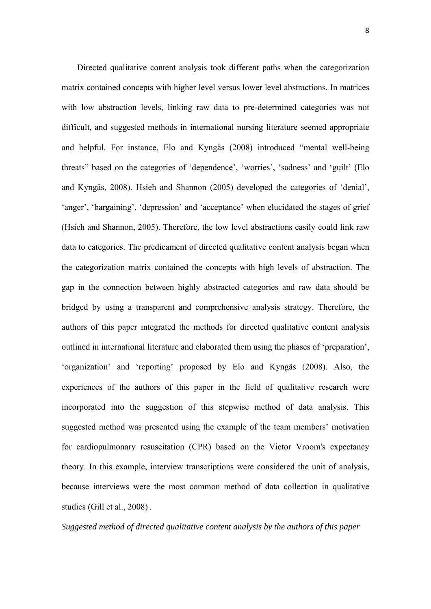Directed qualitative content analysis took different paths when the categorization matrix contained concepts with higher level versus lower level abstractions. In matrices with low abstraction levels, linking raw data to pre-determined categories was not difficult, and suggested methods in international nursing literature seemed appropriate and helpful. For instance, Elo and Kyngäs (2008) introduced "mental well-being threats" based on the categories of 'dependence', 'worries', 'sadness' and 'guilt' (Elo and Kyngäs, 2008). Hsieh and Shannon (2005) developed the categories of 'denial', 'anger', 'bargaining', 'depression' and 'acceptance' when elucidated the stages of grief (Hsieh and Shannon, 2005). Therefore, the low level abstractions easily could link raw data to categories. The predicament of directed qualitative content analysis began when the categorization matrix contained the concepts with high levels of abstraction. The gap in the connection between highly abstracted categories and raw data should be bridged by using a transparent and comprehensive analysis strategy. Therefore, the authors of this paper integrated the methods for directed qualitative content analysis outlined in international literature and elaborated them using the phases of 'preparation', 'organization' and 'reporting' proposed by Elo and Kyngäs (2008). Also, the experiences of the authors of this paper in the field of qualitative research were incorporated into the suggestion of this stepwise method of data analysis. This suggested method was presented using the example of the team members' motivation for cardiopulmonary resuscitation (CPR) based on the Victor Vroom's expectancy theory. In this example, interview transcriptions were considered the unit of analysis, because interviews were the most common method of data collection in qualitative studies (Gill et al., 2008) .

*Suggested method of directed qualitative content analysis by the authors of this paper*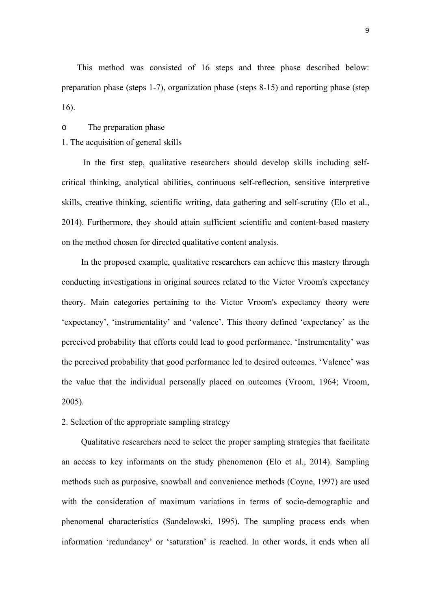This method was consisted of 16 steps and three phase described below: preparation phase (steps 1-7), organization phase (steps 8-15) and reporting phase (step 16).

#### o The preparation phase

#### 1. The acquisition of general skills

 In the first step, qualitative researchers should develop skills including selfcritical thinking, analytical abilities, continuous self-reflection, sensitive interpretive skills, creative thinking, scientific writing, data gathering and self-scrutiny (Elo et al., 2014). Furthermore, they should attain sufficient scientific and content-based mastery on the method chosen for directed qualitative content analysis.

In the proposed example, qualitative researchers can achieve this mastery through conducting investigations in original sources related to the Victor Vroom's expectancy theory. Main categories pertaining to the Victor Vroom's expectancy theory were 'expectancy', 'instrumentality' and 'valence'. This theory defined 'expectancy' as the perceived probability that efforts could lead to good performance. 'Instrumentality' was the perceived probability that good performance led to desired outcomes. 'Valence' was the value that the individual personally placed on outcomes (Vroom, 1964; Vroom, 2005).

2. Selection of the appropriate sampling strategy

Qualitative researchers need to select the proper sampling strategies that facilitate an access to key informants on the study phenomenon (Elo et al., 2014). Sampling methods such as purposive, snowball and convenience methods (Coyne, 1997) are used with the consideration of maximum variations in terms of socio-demographic and phenomenal characteristics (Sandelowski, 1995). The sampling process ends when information 'redundancy' or 'saturation' is reached. In other words, it ends when all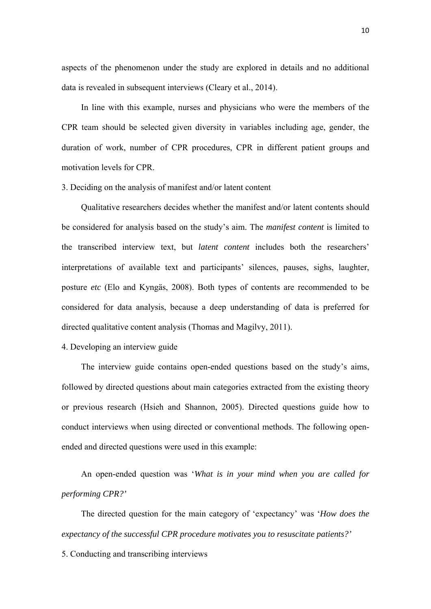aspects of the phenomenon under the study are explored in details and no additional data is revealed in subsequent interviews (Cleary et al., 2014).

In line with this example, nurses and physicians who were the members of the CPR team should be selected given diversity in variables including age, gender, the duration of work, number of CPR procedures, CPR in different patient groups and motivation levels for CPR.

#### 3. Deciding on the analysis of manifest and/or latent content

Qualitative researchers decides whether the manifest and/or latent contents should be considered for analysis based on the study's aim. The *manifest content* is limited to the transcribed interview text, but *latent content* includes both the researchers' interpretations of available text and participants' silences, pauses, sighs, laughter, posture *etc* (Elo and Kyngäs, 2008). Both types of contents are recommended to be considered for data analysis, because a deep understanding of data is preferred for directed qualitative content analysis (Thomas and Magilvy, 2011).

#### 4. Developing an interview guide

The interview guide contains open-ended questions based on the study's aims, followed by directed questions about main categories extracted from the existing theory or previous research (Hsieh and Shannon, 2005). Directed questions guide how to conduct interviews when using directed or conventional methods. The following openended and directed questions were used in this example:

An open-ended question was '*What is in your mind when you are called for performing CPR?'* 

The directed question for the main category of 'expectancy' was '*How does the expectancy of the successful CPR procedure motivates you to resuscitate patients?'*

5. Conducting and transcribing interviews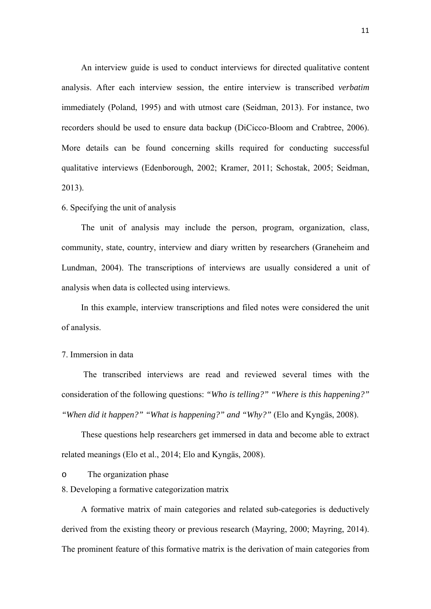An interview guide is used to conduct interviews for directed qualitative content analysis. After each interview session, the entire interview is transcribed *verbatim* immediately (Poland, 1995) and with utmost care (Seidman, 2013). For instance, two recorders should be used to ensure data backup (DiCicco‐Bloom and Crabtree, 2006). More details can be found concerning skills required for conducting successful qualitative interviews (Edenborough, 2002; Kramer, 2011; Schostak, 2005; Seidman, 2013).

#### 6. Specifying the unit of analysis

The unit of analysis may include the person, program, organization, class, community, state, country, interview and diary written by researchers (Graneheim and Lundman, 2004). The transcriptions of interviews are usually considered a unit of analysis when data is collected using interviews.

In this example, interview transcriptions and filed notes were considered the unit of analysis.

#### 7. Immersion in data

 The transcribed interviews are read and reviewed several times with the consideration of the following questions: *"Who is telling?" "Where is this happening?" "When did it happen?" "What is happening?" and "Why?"* (Elo and Kyngäs, 2008).

These questions help researchers get immersed in data and become able to extract related meanings (Elo et al., 2014; Elo and Kyngäs, 2008).

o The organization phase

8. Developing a formative categorization matrix

A formative matrix of main categories and related sub-categories is deductively derived from the existing theory or previous research (Mayring, 2000; Mayring, 2014). The prominent feature of this formative matrix is the derivation of main categories from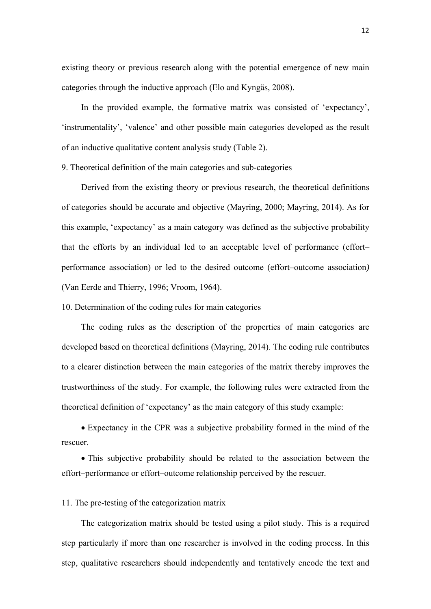existing theory or previous research along with the potential emergence of new main categories through the inductive approach (Elo and Kyngäs, 2008).

In the provided example, the formative matrix was consisted of 'expectancy', 'instrumentality', 'valence' and other possible main categories developed as the result of an inductive qualitative content analysis study (Table 2).

9. Theoretical definition of the main categories and sub-categories

Derived from the existing theory or previous research, the theoretical definitions of categories should be accurate and objective (Mayring, 2000; Mayring, 2014). As for this example, 'expectancy' as a main category was defined as the subjective probability that the efforts by an individual led to an acceptable level of performance (effort– performance association) or led to the desired outcome (effort–outcome association*)* (Van Eerde and Thierry, 1996; Vroom, 1964).

10. Determination of the coding rules for main categories

The coding rules as the description of the properties of main categories are developed based on theoretical definitions (Mayring, 2014). The coding rule contributes to a clearer distinction between the main categories of the matrix thereby improves the trustworthiness of the study. For example, the following rules were extracted from the theoretical definition of 'expectancy' as the main category of this study example:

 Expectancy in the CPR was a subjective probability formed in the mind of the rescuer.

 This subjective probability should be related to the association between the effort–performance or effort–outcome relationship perceived by the rescuer*.*

#### 11. The pre-testing of the categorization matrix

The categorization matrix should be tested using a pilot study. This is a required step particularly if more than one researcher is involved in the coding process. In this step, qualitative researchers should independently and tentatively encode the text and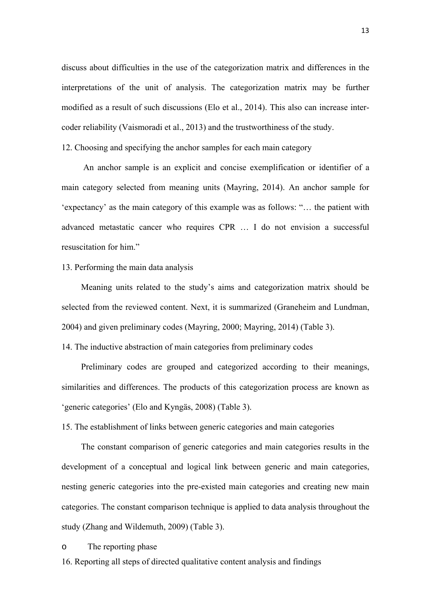discuss about difficulties in the use of the categorization matrix and differences in the interpretations of the unit of analysis. The categorization matrix may be further modified as a result of such discussions (Elo et al., 2014). This also can increase intercoder reliability (Vaismoradi et al., 2013) and the trustworthiness of the study.

12. Choosing and specifying the anchor samples for each main category

 An anchor sample is an explicit and concise exemplification or identifier of a main category selected from meaning units (Mayring, 2014). An anchor sample for 'expectancy' as the main category of this example was as follows: "… the patient with advanced metastatic cancer who requires CPR … I do not envision a successful resuscitation for him."

#### 13. Performing the main data analysis

Meaning units related to the study's aims and categorization matrix should be selected from the reviewed content. Next, it is summarized (Graneheim and Lundman, 2004) and given preliminary codes (Mayring, 2000; Mayring, 2014) (Table 3).

14. The inductive abstraction of main categories from preliminary codes

Preliminary codes are grouped and categorized according to their meanings, similarities and differences. The products of this categorization process are known as 'generic categories' (Elo and Kyngäs, 2008) (Table 3).

15. The establishment of links between generic categories and main categories

The constant comparison of generic categories and main categories results in the development of a conceptual and logical link between generic and main categories, nesting generic categories into the pre-existed main categories and creating new main categories. The constant comparison technique is applied to data analysis throughout the study (Zhang and Wildemuth, 2009) (Table 3).

#### o The reporting phase

16. Reporting all steps of directed qualitative content analysis and findings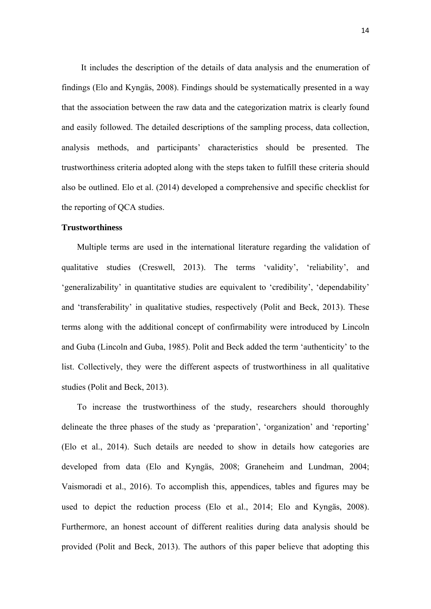It includes the description of the details of data analysis and the enumeration of findings (Elo and Kyngäs, 2008). Findings should be systematically presented in a way that the association between the raw data and the categorization matrix is clearly found and easily followed. The detailed descriptions of the sampling process, data collection, analysis methods, and participants' characteristics should be presented. The trustworthiness criteria adopted along with the steps taken to fulfill these criteria should also be outlined. Elo et al. (2014) developed a comprehensive and specific checklist for the reporting of QCA studies.

#### **Trustworthiness**

Multiple terms are used in the international literature regarding the validation of qualitative studies (Creswell, 2013). The terms 'validity', 'reliability', and 'generalizability' in quantitative studies are equivalent to 'credibility', 'dependability' and 'transferability' in qualitative studies, respectively (Polit and Beck, 2013). These terms along with the additional concept of confirmability were introduced by Lincoln and Guba (Lincoln and Guba, 1985). Polit and Beck added the term 'authenticity' to the list. Collectively, they were the different aspects of trustworthiness in all qualitative studies (Polit and Beck, 2013).

To increase the trustworthiness of the study, researchers should thoroughly delineate the three phases of the study as 'preparation', 'organization' and 'reporting' (Elo et al., 2014). Such details are needed to show in details how categories are developed from data (Elo and Kyngäs, 2008; Graneheim and Lundman, 2004; Vaismoradi et al., 2016). To accomplish this, appendices, tables and figures may be used to depict the reduction process (Elo et al., 2014; Elo and Kyngäs, 2008). Furthermore, an honest account of different realities during data analysis should be provided (Polit and Beck, 2013). The authors of this paper believe that adopting this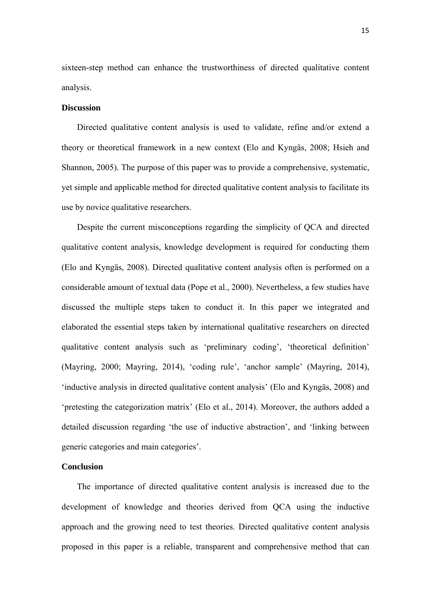sixteen-step method can enhance the trustworthiness of directed qualitative content analysis.

#### **Discussion**

Directed qualitative content analysis is used to validate, refine and/or extend a theory or theoretical framework in a new context (Elo and Kyngäs, 2008; Hsieh and Shannon, 2005). The purpose of this paper was to provide a comprehensive, systematic, yet simple and applicable method for directed qualitative content analysis to facilitate its use by novice qualitative researchers.

Despite the current misconceptions regarding the simplicity of QCA and directed qualitative content analysis, knowledge development is required for conducting them (Elo and Kyngäs, 2008). Directed qualitative content analysis often is performed on a considerable amount of textual data (Pope et al., 2000). Nevertheless, a few studies have discussed the multiple steps taken to conduct it. In this paper we integrated and elaborated the essential steps taken by international qualitative researchers on directed qualitative content analysis such as 'preliminary coding', 'theoretical definition' (Mayring, 2000; Mayring, 2014), 'coding rule', 'anchor sample' (Mayring, 2014), 'inductive analysis in directed qualitative content analysis' (Elo and Kyngäs, 2008) and 'pretesting the categorization matrix' (Elo et al., 2014). Moreover, the authors added a detailed discussion regarding 'the use of inductive abstraction', and 'linking between generic categories and main categories'.

#### **Conclusion**

The importance of directed qualitative content analysis is increased due to the development of knowledge and theories derived from QCA using the inductive approach and the growing need to test theories. Directed qualitative content analysis proposed in this paper is a reliable, transparent and comprehensive method that can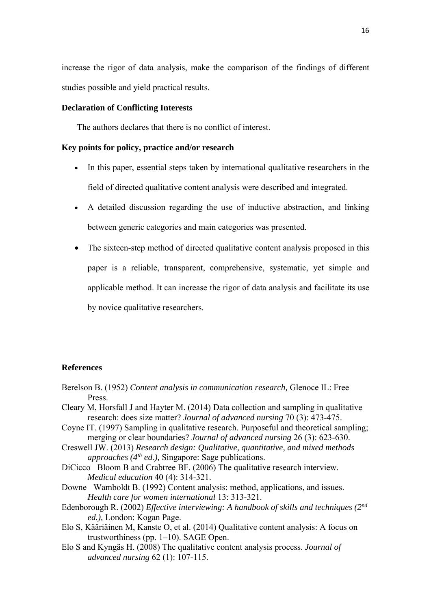increase the rigor of data analysis, make the comparison of the findings of different studies possible and yield practical results.

#### **Declaration of Conflicting Interests**

The authors declares that there is no conflict of interest.

#### **Key points for policy, practice and/or research**

- In this paper, essential steps taken by international qualitative researchers in the field of directed qualitative content analysis were described and integrated.
- A detailed discussion regarding the use of inductive abstraction, and linking between generic categories and main categories was presented.
- The sixteen-step method of directed qualitative content analysis proposed in this paper is a reliable, transparent, comprehensive, systematic, yet simple and applicable method. It can increase the rigor of data analysis and facilitate its use by novice qualitative researchers.

#### **References**

- Berelson B. (1952) *Content analysis in communication research,* Glenoce IL: Free Press.
- Cleary M, Horsfall J and Hayter M. (2014) Data collection and sampling in qualitative research: does size matter? *Journal of advanced nursing* 70 (3): 473-475.
- Coyne IT. (1997) Sampling in qualitative research. Purposeful and theoretical sampling; merging or clear boundaries? *Journal of advanced nursing* 26 (3): 623-630.
- Creswell JW. (2013) *Research design: Qualitative, quantitative, and mixed methods approaches (4th ed.),* Singapore: Sage publications.
- DiCicco Bloom B and Crabtree BF. (2006) The qualitative research interview. *Medical education* 40 (4): 314-321.
- Downe Wamboldt B. (1992) Content analysis: method, applications, and issues. *Health care for women international* 13: 313-321.
- Edenborough R. (2002) *Effective interviewing: A handbook of skills and techniques (2nd ed.),* London: Kogan Page.
- Elo S, Kääriäinen M, Kanste O, et al. (2014) Qualitative content analysis: A focus on trustworthiness (pp. 1–10). SAGE Open.
- Elo S and Kyngäs H. (2008) The qualitative content analysis process. *Journal of advanced nursing* 62 (1): 107-115.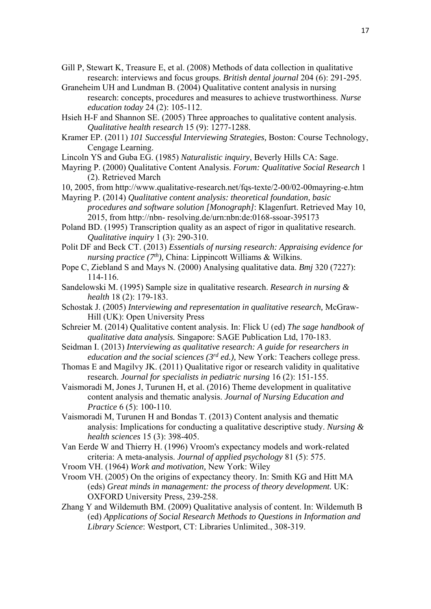- Gill P, Stewart K, Treasure E, et al. (2008) Methods of data collection in qualitative research: interviews and focus groups. *British dental journal* 204 (6): 291-295.
- Graneheim UH and Lundman B. (2004) Qualitative content analysis in nursing research: concepts, procedures and measures to achieve trustworthiness. *Nurse education today* 24 (2): 105-112.
- Hsieh H-F and Shannon SE. (2005) Three approaches to qualitative content analysis. *Qualitative health research* 15 (9): 1277-1288.
- Kramer EP. (2011) *101 Successful Interviewing Strategies,* Boston: Course Technology, Cengage Learning.

Lincoln YS and Guba EG. (1985) *Naturalistic inquiry*, Beverly Hills CA: Sage.

Mayring P. (2000) Qualitative Content Analysis. *Forum: Qualitative Social Research* 1 (2). Retrieved March

- 10, 2005, from http://www.qualitative-research.net/fqs-texte/2-00/02-00mayring-e.htm
- Mayring P. (2014) *Qualitative content analysis: theoretical foundation, basic procedures and software solution [Monograph]*: Klagenfurt. Retrieved May 10, 2015, from http://nbn- resolving.de/urn:nbn:de:0168-ssoar-395173
- Poland BD. (1995) Transcription quality as an aspect of rigor in qualitative research. *Qualitative inquiry* 1 (3): 290-310.
- Polit DF and Beck CT. (2013) *Essentials of nursing research: Appraising evidence for nursing practice (7<sup>th</sup>)*, China: Lippincott Williams & Wilkins.
- Pope C, Ziebland S and Mays N. (2000) Analysing qualitative data. *Bmj* 320 (7227): 114-116.
- Sandelowski M. (1995) Sample size in qualitative research. *Research in nursing & health* 18 (2): 179-183.
- Schostak J. (2005) *Interviewing and representation in qualitative research,* McGraw-Hill (UK): Open University Press
- Schreier M. (2014) Qualitative content analysis. In: Flick U (ed) *The sage handbook of qualitative data analysis.* Singapore: SAGE Publication Ltd, 170-183.
- Seidman I. (2013) *Interviewing as qualitative research: A guide for researchers in education and the social sciences (3rd ed.),* New York: Teachers college press.
- Thomas E and Magilvy JK. (2011) Qualitative rigor or research validity in qualitative research. *Journal for specialists in pediatric nursing* 16 (2): 151-155.
- Vaismoradi M, Jones J, Turunen H, et al. (2016) Theme development in qualitative content analysis and thematic analysis. *Journal of Nursing Education and Practice* 6 (5): 100-110.
- Vaismoradi M, Turunen H and Bondas T. (2013) Content analysis and thematic analysis: Implications for conducting a qualitative descriptive study. *Nursing & health sciences* 15 (3): 398-405.
- Van Eerde W and Thierry H. (1996) Vroom's expectancy models and work-related criteria: A meta-analysis. *Journal of applied psychology* 81 (5): 575.
- Vroom VH. (1964) *Work and motivation,* New York: Wiley
- Vroom VH. (2005) On the origins of expectancy theory. In: Smith KG and Hitt MA (eds) *Great minds in management: the process of theory development.* UK: OXFORD University Press, 239-258.
- Zhang Y and Wildemuth BM. (2009) Qualitative analysis of content. In: Wildemuth B (ed) *Applications of Social Research Methods to Questions in Information and Library Science*: Westport, CT: Libraries Unlimited., 308-319.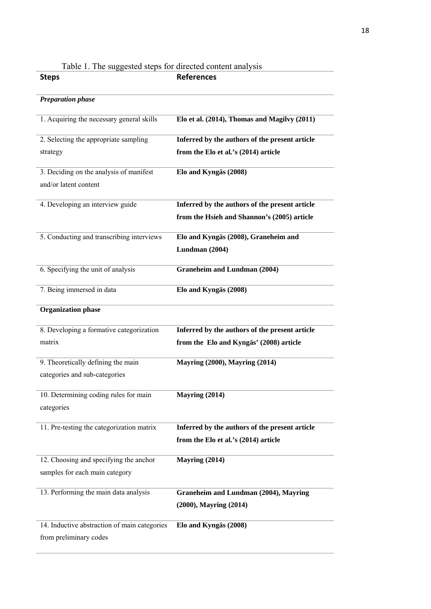| Table 1. The suggested steps for unceled content analysis |                                                |
|-----------------------------------------------------------|------------------------------------------------|
| <b>Steps</b>                                              | <b>References</b>                              |
| <b>Preparation phase</b>                                  |                                                |
| 1. Acquiring the necessary general skills                 | Elo et al. (2014), Thomas and Magilvy (2011)   |
| 2. Selecting the appropriate sampling                     | Inferred by the authors of the present article |
| strategy                                                  | from the Elo et al.'s (2014) article           |
| 3. Deciding on the analysis of manifest                   | Elo and Kyngäs (2008)                          |
| and/or latent content                                     |                                                |
| 4. Developing an interview guide                          | Inferred by the authors of the present article |
|                                                           | from the Hsieh and Shannon's (2005) article    |
| 5. Conducting and transcribing interviews                 | Elo and Kyngäs (2008), Graneheim and           |
|                                                           | Lundman (2004)                                 |
| 6. Specifying the unit of analysis                        | <b>Graneheim and Lundman (2004)</b>            |
| 7. Being immersed in data                                 | Elo and Kyngäs (2008)                          |
| <b>Organization phase</b>                                 |                                                |
| 8. Developing a formative categorization                  | Inferred by the authors of the present article |
| matrix                                                    | from the Elo and Kyngäs' (2008) article        |
| 9. Theoretically defining the main                        | <b>Mayring (2000), Mayring (2014)</b>          |
| categories and sub-categories                             |                                                |
| 10. Determining coding rules for main                     | Mayring (2014)                                 |
| categories                                                |                                                |
| 11. Pre-testing the categorization matrix                 | Inferred by the authors of the present article |
|                                                           | from the Elo et al.'s (2014) article           |
| 12. Choosing and specifying the anchor                    | Mayring (2014)                                 |
| samples for each main category                            |                                                |
| 13. Performing the main data analysis                     | Graneheim and Lundman (2004), Mayring          |
|                                                           | $(2000)$ , Mayring $(2014)$                    |
| 14. Inductive abstraction of main categories              | Elo and Kyngäs (2008)                          |
| from preliminary codes                                    |                                                |

# Table 1. The suggested steps for directed content analysis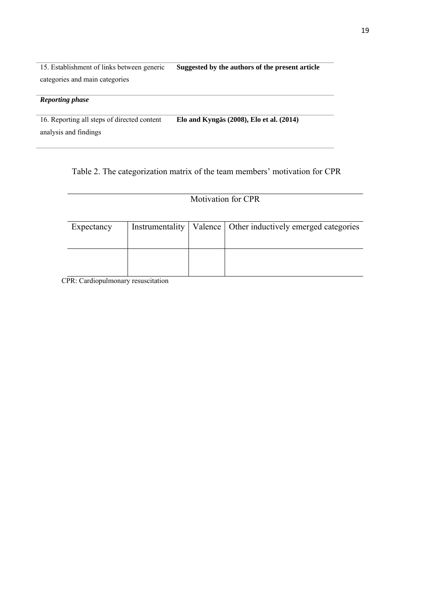15. Establishment of links between generic **Suggested by the authors of the present article**  categories and main categories

#### *Reporting phase*

16. Reporting all steps of directed content **Elo and Kyngäs (2008), Elo et al. (2014)** analysis and findings

### Table 2. The categorization matrix of the team members' motivation for CPR

## Motivation for CPR

| Expectancy |  | Instrumentality   Valence   Other inductively emerged categories |
|------------|--|------------------------------------------------------------------|
|            |  |                                                                  |
|            |  |                                                                  |
|            |  |                                                                  |

CPR: Cardiopulmonary resuscitation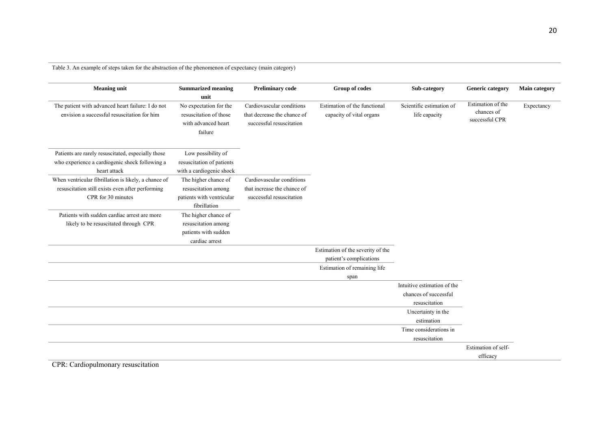Table 3. An example of steps taken for the abstraction of the phenomenon of expectancy (main category)

| <b>Meaning unit</b>                                                                                                            | <b>Summarized meaning</b>                                                                | <b>Preliminary code</b>                                                              | Group of codes                                           | Sub-category                              | <b>Generic category</b>                           | <b>Main category</b> |
|--------------------------------------------------------------------------------------------------------------------------------|------------------------------------------------------------------------------------------|--------------------------------------------------------------------------------------|----------------------------------------------------------|-------------------------------------------|---------------------------------------------------|----------------------|
|                                                                                                                                | unit                                                                                     |                                                                                      |                                                          |                                           |                                                   |                      |
| The patient with advanced heart failure: I do not<br>envision a successful resuscitation for him                               | No expectation for the<br>resuscitation of those<br>with advanced heart<br>failure       | Cardiovascular conditions<br>that decrease the chance of<br>successful resuscitation | Estimation of the functional<br>capacity of vital organs | Scientific estimation of<br>life capacity | Estimation of the<br>chances of<br>successful CPR | Expectancy           |
| Patients are rarely resuscitated, especially those<br>who experience a cardiogenic shock following a<br>heart attack           | Low possibility of<br>resuscitation of patients<br>with a cardiogenic shock              |                                                                                      |                                                          |                                           |                                                   |                      |
| When ventricular fibrillation is likely, a chance of<br>resuscitation still exists even after performing<br>CPR for 30 minutes | The higher chance of<br>resuscitation among<br>patients with ventricular<br>fibrillation | Cardiovascular conditions<br>that increase the chance of<br>successful resuscitation |                                                          |                                           |                                                   |                      |
| Patients with sudden cardiac arrest are more<br>likely to be resuscitated through CPR                                          | The higher chance of<br>resuscitation among<br>patients with sudden<br>cardiac arrest    |                                                                                      |                                                          |                                           |                                                   |                      |
|                                                                                                                                |                                                                                          |                                                                                      | Estimation of the severity of the                        |                                           |                                                   |                      |
|                                                                                                                                |                                                                                          |                                                                                      | patient's complications                                  |                                           |                                                   |                      |
|                                                                                                                                |                                                                                          |                                                                                      | Estimation of remaining life                             |                                           |                                                   |                      |
|                                                                                                                                |                                                                                          |                                                                                      | span                                                     |                                           |                                                   |                      |
|                                                                                                                                |                                                                                          |                                                                                      |                                                          | Intuitive estimation of the               |                                                   |                      |
|                                                                                                                                |                                                                                          |                                                                                      |                                                          | chances of successful<br>resuscitation    |                                                   |                      |
|                                                                                                                                |                                                                                          |                                                                                      |                                                          | Uncertainty in the                        |                                                   |                      |
|                                                                                                                                |                                                                                          |                                                                                      |                                                          | estimation                                |                                                   |                      |
|                                                                                                                                |                                                                                          |                                                                                      |                                                          | Time considerations in                    |                                                   |                      |
|                                                                                                                                |                                                                                          |                                                                                      |                                                          | resuscitation                             |                                                   |                      |
|                                                                                                                                |                                                                                          |                                                                                      |                                                          |                                           | Estimation of self-                               |                      |
|                                                                                                                                |                                                                                          |                                                                                      |                                                          |                                           | efficacy                                          |                      |

CPR: Cardiopulmonary resuscitation